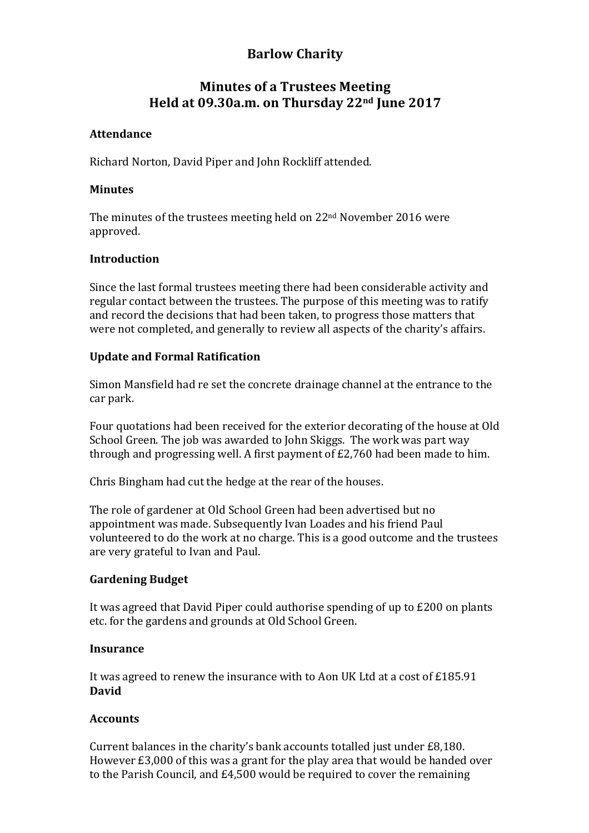# **Barlow Charity**

## **Minutes of a Trustees Meeting Held at 09.30a.m. on Thursday 22nd June 2017**

## **Attendance**

Richard Norton, David Piper and John Rockliff attended.

#### **Minutes**

The minutes of the trustees meeting held on  $22<sup>nd</sup>$  November 2016 were approved.

## **Introduction**

Since the last formal trustees meeting there had been considerable activity and regular contact between the trustees. The purpose of this meeting was to ratify and record the decisions that had been taken, to progress those matters that were not completed, and generally to review all aspects of the charity's affairs.

## **Update and Formal Ratification**

Simon Mansfield had re set the concrete drainage channel at the entrance to the car park.

Four quotations had been received for the exterior decorating of the house at Old School Green. The job was awarded to John Skiggs. The work was part way through and progressing well. A first payment of  $£2,760$  had been made to him.

Chris Bingham had cut the hedge at the rear of the houses.

The role of gardener at Old School Green had been advertised but no appointment was made. Subsequently Ivan Loades and his friend Paul volunteered to do the work at no charge. This is a good outcome and the trustees are very grateful to Ivan and Paul.

## **Gardening Budget**

It was agreed that David Piper could authorise spending of up to  $E200$  on plants etc. for the gardens and grounds at Old School Green.

## **Insurance**

It was agreed to renew the insurance with to Aon UK Ltd at a cost of  $£185.91$ **David**

## **Accounts**

Current balances in the charity's bank accounts totalled just under £8.180. However  $£3,000$  of this was a grant for the play area that would be handed over to the Parish Council, and £4,500 would be required to cover the remaining